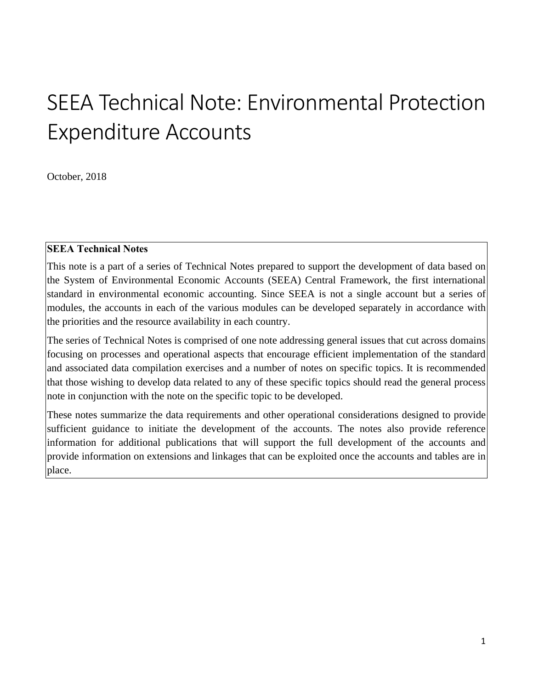# SEEA Technical Note: Environmental Protection Expenditure Accounts

October, 2018

#### **SEEA Technical Notes**

This note is a part of a series of Technical Notes prepared to support the development of data based on the System of Environmental Economic Accounts (SEEA) Central Framework, the first international standard in environmental economic accounting. Since SEEA is not a single account but a series of modules, the accounts in each of the various modules can be developed separately in accordance with the priorities and the resource availability in each country.

The series of Technical Notes is comprised of one note addressing general issues that cut across domains focusing on processes and operational aspects that encourage efficient implementation of the standard and associated data compilation exercises and a number of notes on specific topics. It is recommended that those wishing to develop data related to any of these specific topics should read the general process note in conjunction with the note on the specific topic to be developed.

These notes summarize the data requirements and other operational considerations designed to provide sufficient guidance to initiate the development of the accounts. The notes also provide reference information for additional publications that will support the full development of the accounts and provide information on extensions and linkages that can be exploited once the accounts and tables are in place.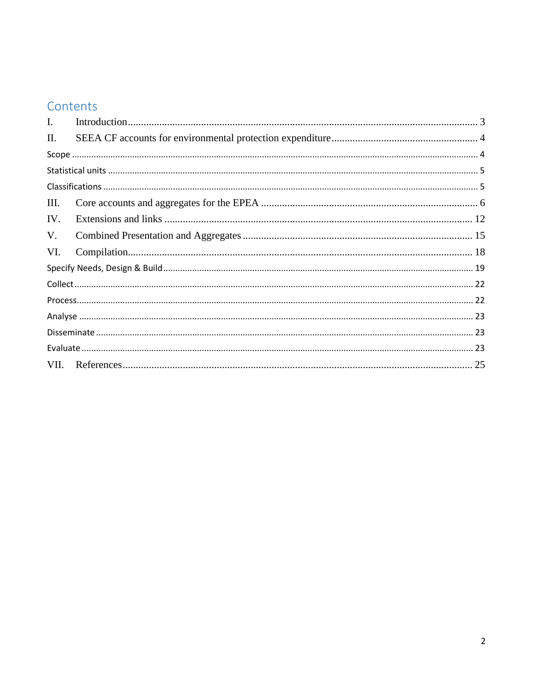# Contents

| $\mathbf{I}$ . |  |
|----------------|--|
| Π.             |  |
|                |  |
|                |  |
|                |  |
| Ш.             |  |
| IV.            |  |
| V.             |  |
| VI.            |  |
|                |  |
|                |  |
|                |  |
|                |  |
|                |  |
|                |  |
|                |  |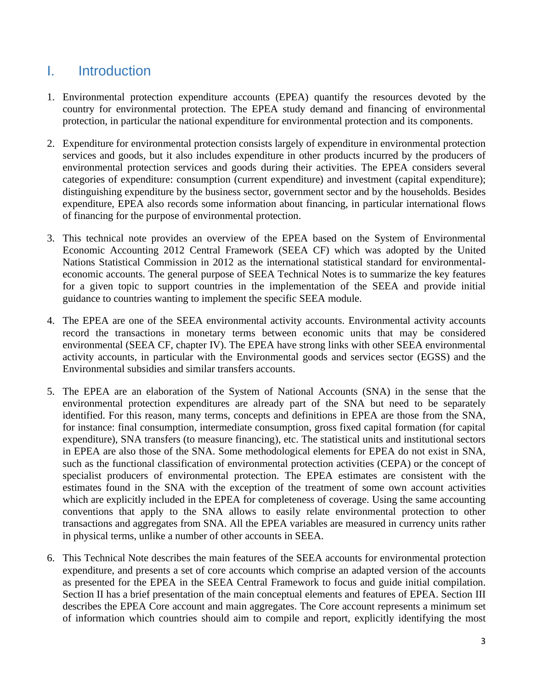# <span id="page-2-0"></span>I. Introduction

- 1. Environmental protection expenditure accounts (EPEA) quantify the resources devoted by the country for environmental protection. The EPEA study demand and financing of environmental protection, in particular the national expenditure for environmental protection and its components.
- 2. Expenditure for environmental protection consists largely of expenditure in environmental protection services and goods, but it also includes expenditure in other products incurred by the producers of environmental protection services and goods during their activities. The EPEA considers several categories of expenditure: consumption (current expenditure) and investment (capital expenditure); distinguishing expenditure by the business sector, government sector and by the households. Besides expenditure, EPEA also records some information about financing, in particular international flows of financing for the purpose of environmental protection.
- 3. This technical note provides an overview of the EPEA based on the System of Environmental Economic Accounting 2012 Central Framework (SEEA CF) which was adopted by the United Nations Statistical Commission in 2012 as the international statistical standard for environmentaleconomic accounts. The general purpose of SEEA Technical Notes is to summarize the key features for a given topic to support countries in the implementation of the SEEA and provide initial guidance to countries wanting to implement the specific SEEA module.
- 4. The EPEA are one of the SEEA environmental activity accounts. Environmental activity accounts record the transactions in monetary terms between economic units that may be considered environmental (SEEA CF, chapter IV). The EPEA have strong links with other SEEA environmental activity accounts, in particular with the Environmental goods and services sector (EGSS) and the Environmental subsidies and similar transfers accounts.
- 5. The EPEA are an elaboration of the System of National Accounts (SNA) in the sense that the environmental protection expenditures are already part of the SNA but need to be separately identified. For this reason, many terms, concepts and definitions in EPEA are those from the SNA, for instance: final consumption, intermediate consumption, gross fixed capital formation (for capital expenditure), SNA transfers (to measure financing), etc. The statistical units and institutional sectors in EPEA are also those of the SNA. Some methodological elements for EPEA do not exist in SNA, such as the functional classification of environmental protection activities (CEPA) or the concept of specialist producers of environmental protection. The EPEA estimates are consistent with the estimates found in the SNA with the exception of the treatment of some own account activities which are explicitly included in the EPEA for completeness of coverage. Using the same accounting conventions that apply to the SNA allows to easily relate environmental protection to other transactions and aggregates from SNA. All the EPEA variables are measured in currency units rather in physical terms, unlike a number of other accounts in SEEA.
- 6. This Technical Note describes the main features of the SEEA accounts for environmental protection expenditure, and presents a set of core accounts which comprise an adapted version of the accounts as presented for the EPEA in the SEEA Central Framework to focus and guide initial compilation. Section II has a brief presentation of the main conceptual elements and features of EPEA. Section III describes the EPEA Core account and main aggregates. The Core account represents a minimum set of information which countries should aim to compile and report, explicitly identifying the most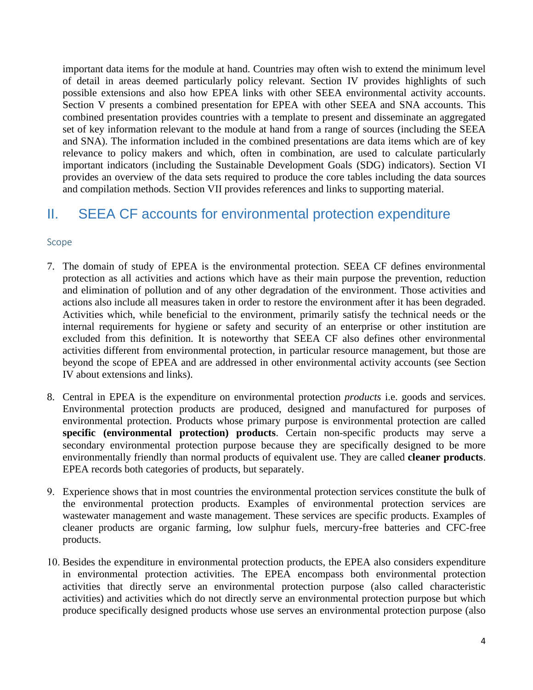important data items for the module at hand. Countries may often wish to extend the minimum level of detail in areas deemed particularly policy relevant. Section IV provides highlights of such possible extensions and also how EPEA links with other SEEA environmental activity accounts. Section V presents a combined presentation for EPEA with other SEEA and SNA accounts. This combined presentation provides countries with a template to present and disseminate an aggregated set of key information relevant to the module at hand from a range of sources (including the SEEA and SNA). The information included in the combined presentations are data items which are of key relevance to policy makers and which, often in combination, are used to calculate particularly important indicators (including the Sustainable Development Goals (SDG) indicators). Section VI provides an overview of the data sets required to produce the core tables including the data sources and compilation methods. Section VII provides references and links to supporting material.

### <span id="page-3-0"></span>II. SEEA CF accounts for environmental protection expenditure

#### <span id="page-3-1"></span>Scope

- 7. The domain of study of EPEA is the environmental protection. SEEA CF defines environmental protection as all activities and actions which have as their main purpose the prevention, reduction and elimination of pollution and of any other degradation of the environment. Those activities and actions also include all measures taken in order to restore the environment after it has been degraded. Activities which, while beneficial to the environment, primarily satisfy the technical needs or the internal requirements for hygiene or safety and security of an enterprise or other institution are excluded from this definition. It is noteworthy that SEEA CF also defines other environmental activities different from environmental protection, in particular resource management, but those are beyond the scope of EPEA and are addressed in other environmental activity accounts (see Section IV about extensions and links).
- 8. Central in EPEA is the expenditure on environmental protection *products* i.e. goods and services. Environmental protection products are produced, designed and manufactured for purposes of environmental protection. Products whose primary purpose is environmental protection are called **specific (environmental protection) products**. Certain non-specific products may serve a secondary environmental protection purpose because they are specifically designed to be more environmentally friendly than normal products of equivalent use. They are called **cleaner products**. EPEA records both categories of products, but separately.
- 9. Experience shows that in most countries the environmental protection services constitute the bulk of the environmental protection products. Examples of environmental protection services are wastewater management and waste management. These services are specific products. Examples of cleaner products are organic farming, low sulphur fuels, mercury-free batteries and CFC-free products.
- 10. Besides the expenditure in environmental protection products, the EPEA also considers expenditure in environmental protection activities. The EPEA encompass both environmental protection activities that directly serve an environmental protection purpose (also called characteristic activities) and activities which do not directly serve an environmental protection purpose but which produce specifically designed products whose use serves an environmental protection purpose (also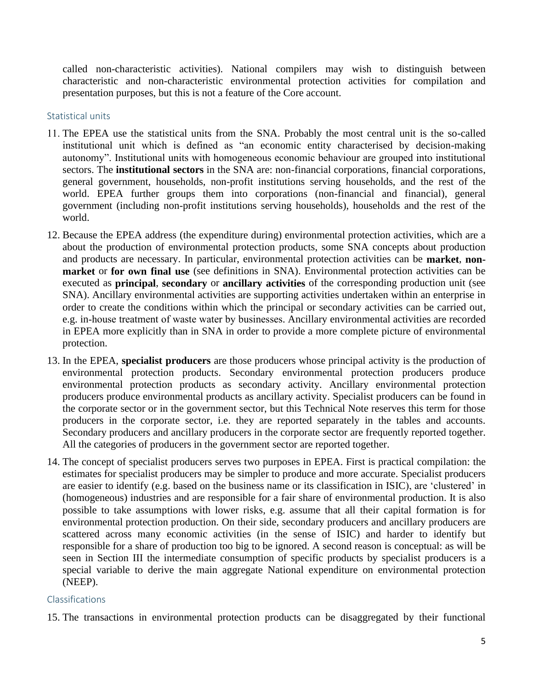called non-characteristic activities). National compilers may wish to distinguish between characteristic and non-characteristic environmental protection activities for compilation and presentation purposes, but this is not a feature of the Core account.

#### <span id="page-4-0"></span>Statistical units

- 11. The EPEA use the statistical units from the SNA. Probably the most central unit is the so-called institutional unit which is defined as "an economic entity characterised by decision-making autonomy". Institutional units with homogeneous economic behaviour are grouped into institutional sectors. The **institutional sectors** in the SNA are: non-financial corporations, financial corporations, general government, households, non-profit institutions serving households, and the rest of the world. EPEA further groups them into corporations (non-financial and financial), general government (including non-profit institutions serving households), households and the rest of the world.
- 12. Because the EPEA address (the expenditure during) environmental protection activities, which are a about the production of environmental protection products, some SNA concepts about production and products are necessary. In particular, environmental protection activities can be **market**, **nonmarket** or **for own final use** (see definitions in SNA). Environmental protection activities can be executed as **principal**, **secondary** or **ancillary activities** of the corresponding production unit (see SNA). Ancillary environmental activities are supporting activities undertaken within an enterprise in order to create the conditions within which the principal or secondary activities can be carried out, e.g. in-house treatment of waste water by businesses. Ancillary environmental activities are recorded in EPEA more explicitly than in SNA in order to provide a more complete picture of environmental protection.
- 13. In the EPEA, **specialist producers** are those producers whose principal activity is the production of environmental protection products. Secondary environmental protection producers produce environmental protection products as secondary activity. Ancillary environmental protection producers produce environmental products as ancillary activity. Specialist producers can be found in the corporate sector or in the government sector, but this Technical Note reserves this term for those producers in the corporate sector, i.e. they are reported separately in the tables and accounts. Secondary producers and ancillary producers in the corporate sector are frequently reported together. All the categories of producers in the government sector are reported together.
- 14. The concept of specialist producers serves two purposes in EPEA. First is practical compilation: the estimates for specialist producers may be simpler to produce and more accurate. Specialist producers are easier to identify (e.g. based on the business name or its classification in ISIC), are 'clustered' in (homogeneous) industries and are responsible for a fair share of environmental production. It is also possible to take assumptions with lower risks, e.g. assume that all their capital formation is for environmental protection production. On their side, secondary producers and ancillary producers are scattered across many economic activities (in the sense of ISIC) and harder to identify but responsible for a share of production too big to be ignored. A second reason is conceptual: as will be seen in Section III the intermediate consumption of specific products by specialist producers is a special variable to derive the main aggregate National expenditure on environmental protection (NEEP).

#### <span id="page-4-1"></span>Classifications

15. The transactions in environmental protection products can be disaggregated by their functional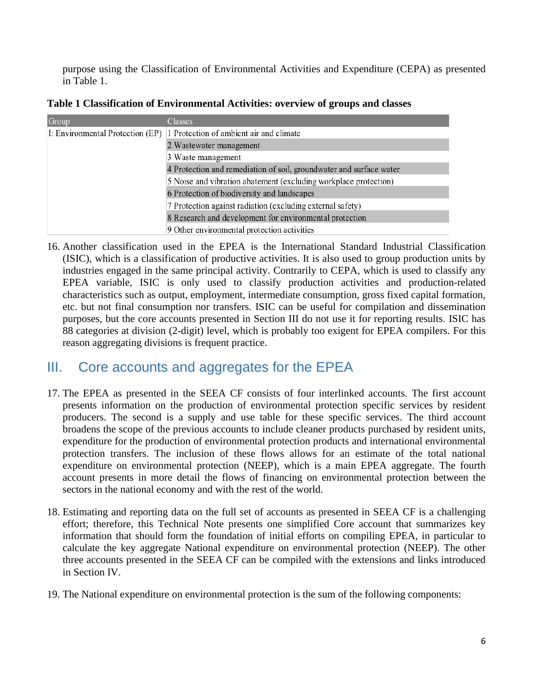purpose using the Classification of Environmental Activities and Expenditure (CEPA) as presented in Table 1.

| Group                            | Classes                                                             |
|----------------------------------|---------------------------------------------------------------------|
| I: Environmental Protection (EP) | 1 Protection of ambient air and climate                             |
|                                  | 2 Wastewater management                                             |
|                                  | 3 Waste management                                                  |
|                                  | 4 Protection and remediation of soil, groundwater and surface water |
|                                  | 5 Noise and vibration abatement (excluding workplace protection)    |
|                                  | 6 Protection of biodiversity and landscapes                         |
|                                  | 7 Protection against radiation (excluding external safety)          |
|                                  | 8 Research and development for environmental protection             |
|                                  | 9 Other environmental protection activities                         |

**Table 1 Classification of Environmental Activities: overview of groups and classes**

16. Another classification used in the EPEA is the International Standard Industrial Classification (ISIC), which is a classification of productive activities. It is also used to group production units by industries engaged in the same principal activity. Contrarily to CEPA, which is used to classify any EPEA variable, ISIC is only used to classify production activities and production-related characteristics such as output, employment, intermediate consumption, gross fixed capital formation, etc. but not final consumption nor transfers. ISIC can be useful for compilation and dissemination purposes, but the core accounts presented in Section III do not use it for reporting results. ISIC has 88 categories at division (2-digit) level, which is probably too exigent for EPEA compilers. For this reason aggregating divisions is frequent practice.

### <span id="page-5-0"></span>III. Core accounts and aggregates for the EPEA

- 17. The EPEA as presented in the SEEA CF consists of four interlinked accounts. The first account presents information on the production of environmental protection specific services by resident producers. The second is a supply and use table for these specific services. The third account broadens the scope of the previous accounts to include cleaner products purchased by resident units, expenditure for the production of environmental protection products and international environmental protection transfers. The inclusion of these flows allows for an estimate of the total national expenditure on environmental protection (NEEP), which is a main EPEA aggregate. The fourth account presents in more detail the flows of financing on environmental protection between the sectors in the national economy and with the rest of the world.
- 18. Estimating and reporting data on the full set of accounts as presented in SEEA CF is a challenging effort; therefore, this Technical Note presents one simplified Core account that summarizes key information that should form the foundation of initial efforts on compiling EPEA, in particular to calculate the key aggregate National expenditure on environmental protection (NEEP). The other three accounts presented in the SEEA CF can be compiled with the extensions and links introduced in Section IV.
- 19. The National expenditure on environmental protection is the sum of the following components: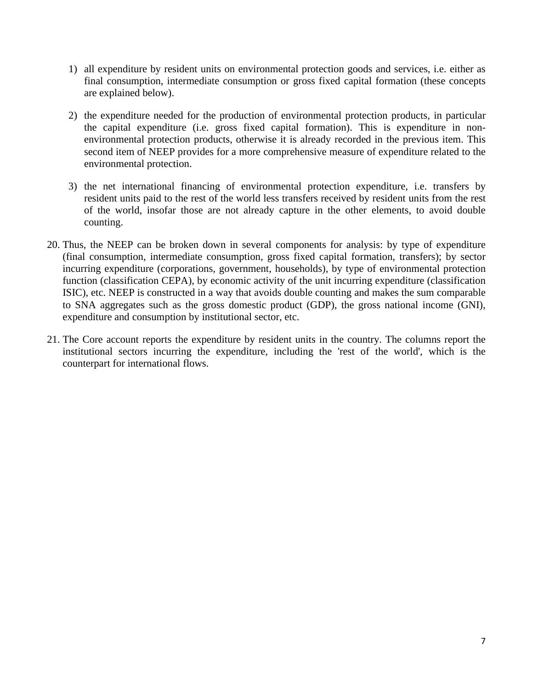- 1) all expenditure by resident units on environmental protection goods and services, i.e. either as final consumption, intermediate consumption or gross fixed capital formation (these concepts are explained below).
- 2) the expenditure needed for the production of environmental protection products, in particular the capital expenditure (i.e. gross fixed capital formation). This is expenditure in nonenvironmental protection products, otherwise it is already recorded in the previous item. This second item of NEEP provides for a more comprehensive measure of expenditure related to the environmental protection.
- 3) the net international financing of environmental protection expenditure, i.e. transfers by resident units paid to the rest of the world less transfers received by resident units from the rest of the world, insofar those are not already capture in the other elements, to avoid double counting.
- 20. Thus, the NEEP can be broken down in several components for analysis: by type of expenditure (final consumption, intermediate consumption, gross fixed capital formation, transfers); by sector incurring expenditure (corporations, government, households), by type of environmental protection function (classification CEPA), by economic activity of the unit incurring expenditure (classification ISIC), etc. NEEP is constructed in a way that avoids double counting and makes the sum comparable to SNA aggregates such as the gross domestic product (GDP), the gross national income (GNI), expenditure and consumption by institutional sector, etc.
- 21. The Core account reports the expenditure by resident units in the country. The columns report the institutional sectors incurring the expenditure, including the 'rest of the world', which is the counterpart for international flows.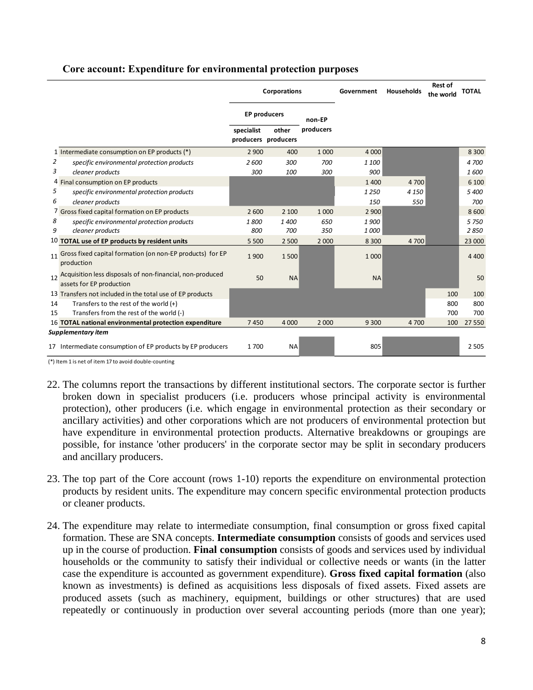|    |                                                                                          |                                   | Corporations |           | Government | Households | <b>Rest of</b><br>the world | <b>TOTAL</b> |
|----|------------------------------------------------------------------------------------------|-----------------------------------|--------------|-----------|------------|------------|-----------------------------|--------------|
|    |                                                                                          | <b>EP producers</b>               |              | non-EP    |            |            |                             |              |
|    |                                                                                          | specialist<br>producers producers | other        | producers |            |            |                             |              |
|    | 1 Intermediate consumption on EP products (*)                                            | 2 9 0 0                           | 400          | 1 0 0 0   | 4 0 0 0    |            |                             | 8 3 0 0      |
| 2  | specific environmental protection products                                               | 2600                              | 300          | 700       | 1 100      |            |                             | 4 700        |
| 3  | cleaner products                                                                         | 300                               | 100          | 300       | 900        |            |                             | 1600         |
|    | 4 Final consumption on EP products                                                       |                                   |              |           | 1400       | 4 700      |                             | 6 100        |
| 5  | specific environmental protection products                                               |                                   |              |           | 1250       | 4 1 5 0    |                             | 5 400        |
| 6  | cleaner products                                                                         |                                   |              |           | 150        | 550        |                             | 700          |
|    | 7 Gross fixed capital formation on EP products                                           | 2 600                             | 2 100        | 1 0 0 0   | 2 9 0 0    |            |                             | 8 600        |
| 8  | specific environmental protection products                                               | 1800                              | 1400         | 650       | 1900       |            |                             | 5 7 5 0      |
| 9  | cleaner products                                                                         | 800                               | 700          | 350       | 1000       |            |                             | 2850         |
|    | 10 TOTAL use of EP products by resident units                                            | 5 5 0 0                           | 2 5 0 0      | 2 0 0 0   | 8 3 0 0    | 4 700      |                             | 23 000       |
|    | 11 Gross fixed capital formation (on non-EP products) for EP<br>production               | 1900                              | 1500         |           | 1 0 0 0    |            |                             | 4 4 0 0      |
|    | 12 Acquisition less disposals of non-financial, non-produced<br>assets for EP production | 50                                | <b>NA</b>    |           | <b>NA</b>  |            |                             | 50           |
|    | 13 Transfers not included in the total use of EP products                                |                                   |              |           |            |            | 100                         | 100          |
| 14 | Transfers to the rest of the world $(+)$                                                 |                                   |              |           |            |            | 800                         | 800          |
| 15 | Transfers from the rest of the world (-)                                                 |                                   |              |           |            |            | 700                         | 700          |
|    | 16 TOTAL national environmental protection expenditure                                   | 7450                              | 4 0 0 0      | 2 0 0 0   | 9 3 0 0    | 4700       | 100                         | 27 550       |
|    | Supplementary item                                                                       |                                   |              |           |            |            |                             |              |
|    | 17 Intermediate consumption of EP products by EP producers                               | 1700                              | <b>NA</b>    |           | 805        |            |                             | 2 5 0 5      |

#### **Core account: Expenditure for environmental protection purposes**

(\*) Item 1 is net of item 17 to avoid double-counting

- 22. The columns report the transactions by different institutional sectors. The corporate sector is further broken down in specialist producers (i.e. producers whose principal activity is environmental protection), other producers (i.e. which engage in environmental protection as their secondary or ancillary activities) and other corporations which are not producers of environmental protection but have expenditure in environmental protection products. Alternative breakdowns or groupings are possible, for instance 'other producers' in the corporate sector may be split in secondary producers and ancillary producers.
- 23. The top part of the Core account (rows 1-10) reports the expenditure on environmental protection products by resident units. The expenditure may concern specific environmental protection products or cleaner products.
- 24. The expenditure may relate to intermediate consumption, final consumption or gross fixed capital formation. These are SNA concepts. **Intermediate consumption** consists of goods and services used up in the course of production. **Final consumption** consists of goods and services used by individual households or the community to satisfy their individual or collective needs or wants (in the latter case the expenditure is accounted as government expenditure). **Gross fixed capital formation** (also known as investments) is defined as acquisitions less disposals of fixed assets. Fixed assets are produced assets (such as machinery, equipment, buildings or other structures) that are used repeatedly or continuously in production over several accounting periods (more than one year);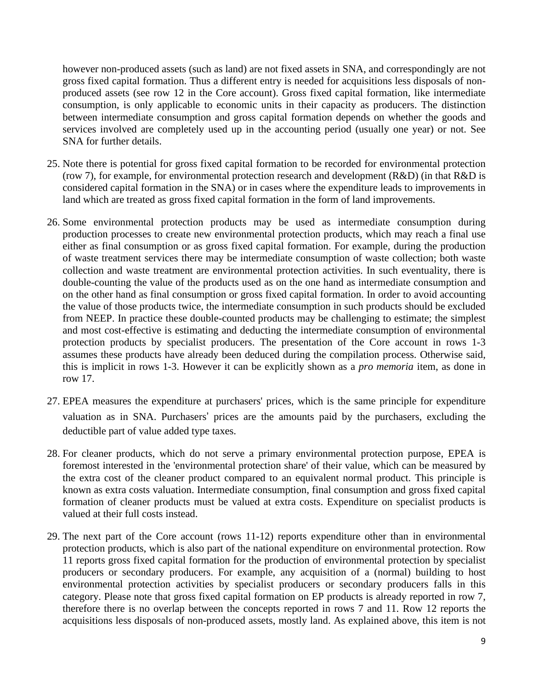however non-produced assets (such as land) are not fixed assets in SNA, and correspondingly are not gross fixed capital formation. Thus a different entry is needed for acquisitions less disposals of nonproduced assets (see row 12 in the Core account). Gross fixed capital formation, like intermediate consumption, is only applicable to economic units in their capacity as producers. The distinction between intermediate consumption and gross capital formation depends on whether the goods and services involved are completely used up in the accounting period (usually one year) or not. See SNA for further details.

- 25. Note there is potential for gross fixed capital formation to be recorded for environmental protection (row 7), for example, for environmental protection research and development (R&D) (in that R&D is considered capital formation in the SNA) or in cases where the expenditure leads to improvements in land which are treated as gross fixed capital formation in the form of land improvements.
- <span id="page-8-0"></span>26. Some environmental protection products may be used as intermediate consumption during production processes to create new environmental protection products, which may reach a final use either as final consumption or as gross fixed capital formation. For example, during the production of waste treatment services there may be intermediate consumption of waste collection; both waste collection and waste treatment are environmental protection activities. In such eventuality, there is double-counting the value of the products used as on the one hand as intermediate consumption and on the other hand as final consumption or gross fixed capital formation. In order to avoid accounting the value of those products twice, the intermediate consumption in such products should be excluded from NEEP. In practice these double-counted products may be challenging to estimate; the simplest and most cost-effective is estimating and deducting the intermediate consumption of environmental protection products by specialist producers. The presentation of the Core account in rows 1-3 assumes these products have already been deduced during the compilation process. Otherwise said, this is implicit in rows 1-3. However it can be explicitly shown as a *pro memoria* item, as done in row 17.
- 27. EPEA measures the expenditure at purchasers' prices, which is the same principle for expenditure valuation as in SNA. Purchasers' prices are the amounts paid by the purchasers, excluding the deductible part of value added type taxes.
- 28. For cleaner products, which do not serve a primary environmental protection purpose, EPEA is foremost interested in the 'environmental protection share' of their value, which can be measured by the extra cost of the cleaner product compared to an equivalent normal product. This principle is known as extra costs valuation. Intermediate consumption, final consumption and gross fixed capital formation of cleaner products must be valued at extra costs. Expenditure on specialist products is valued at their full costs instead.
- 29. The next part of the Core account (rows 11-12) reports expenditure other than in environmental protection products, which is also part of the national expenditure on environmental protection. Row 11 reports gross fixed capital formation for the production of environmental protection by specialist producers or secondary producers. For example, any acquisition of a (normal) building to host environmental protection activities by specialist producers or secondary producers falls in this category. Please note that gross fixed capital formation on EP products is already reported in row 7, therefore there is no overlap between the concepts reported in rows 7 and 11. Row 12 reports the acquisitions less disposals of non-produced assets, mostly land. As explained above, this item is not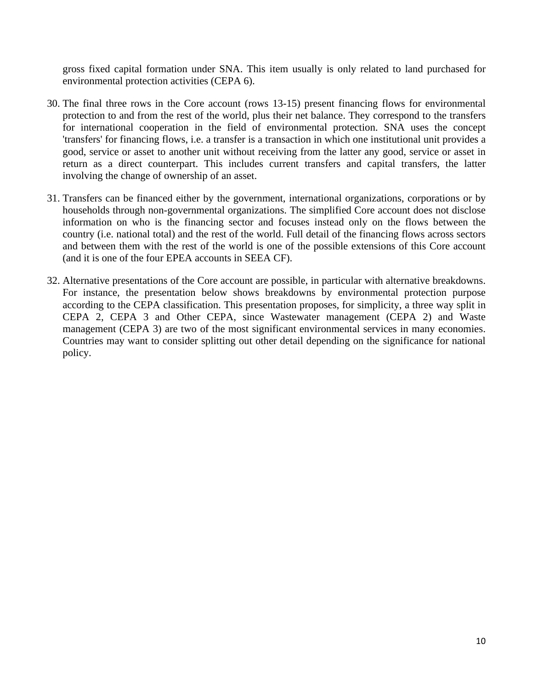gross fixed capital formation under SNA. This item usually is only related to land purchased for environmental protection activities (CEPA 6).

- 30. The final three rows in the Core account (rows 13-15) present financing flows for environmental protection to and from the rest of the world, plus their net balance. They correspond to the transfers for international cooperation in the field of environmental protection. SNA uses the concept 'transfers' for financing flows, i.e. a transfer is a transaction in which one institutional unit provides a good, service or asset to another unit without receiving from the latter any good, service or asset in return as a direct counterpart. This includes current transfers and capital transfers, the latter involving the change of ownership of an asset.
- 31. Transfers can be financed either by the government, international organizations, corporations or by households through non-governmental organizations. The simplified Core account does not disclose information on who is the financing sector and focuses instead only on the flows between the country (i.e. national total) and the rest of the world. Full detail of the financing flows across sectors and between them with the rest of the world is one of the possible extensions of this Core account (and it is one of the four EPEA accounts in SEEA CF).
- 32. Alternative presentations of the Core account are possible, in particular with alternative breakdowns. For instance, the presentation below shows breakdowns by environmental protection purpose according to the CEPA classification. This presentation proposes, for simplicity, a three way split in CEPA 2, CEPA 3 and Other CEPA, since Wastewater management (CEPA 2) and Waste management (CEPA 3) are two of the most significant environmental services in many economies. Countries may want to consider splitting out other detail depending on the significance for national policy.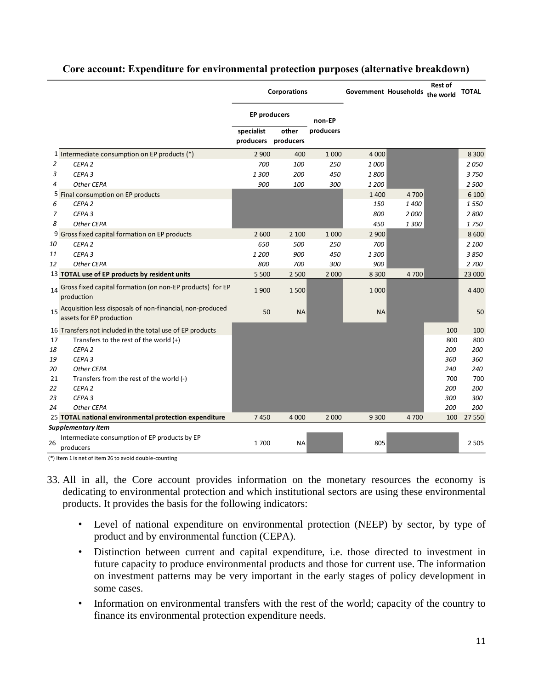|    |                                                                                          |                         | <b>Corporations</b> |           | Government Households |       | <b>Rest of</b><br>the world | <b>TOTAL</b> |
|----|------------------------------------------------------------------------------------------|-------------------------|---------------------|-----------|-----------------------|-------|-----------------------------|--------------|
|    |                                                                                          | <b>EP producers</b>     |                     | non-EP    |                       |       |                             |              |
|    |                                                                                          | specialist<br>producers | other<br>producers  | producers |                       |       |                             |              |
|    | 1 Intermediate consumption on EP products (*)                                            | 2 9 0 0                 | 400                 | 1 0 0 0   | 4 0 0 0               |       |                             | 8 3 0 0      |
| 2  | CEPA <sub>2</sub>                                                                        | 700                     | 100                 | 250       | 1000                  |       |                             | 2050         |
| 3  | CEPA <sub>3</sub>                                                                        | 1300                    | 200                 | 450       | 1800                  |       |                             | 3750         |
| 4  | Other CEPA                                                                               | 900                     | 100                 | 300       | 1 200                 |       |                             | 2 500        |
|    | 5 Final consumption on EP products                                                       |                         |                     |           | 1 4 0 0               | 4 700 |                             | 6 100        |
| 6  | CEPA <sub>2</sub>                                                                        |                         |                     |           | 150                   | 1400  |                             | 1550         |
| 7  | CEPA <sub>3</sub>                                                                        |                         |                     |           | 800                   | 2000  |                             | 2800         |
| 8  | Other CEPA                                                                               |                         |                     |           | 450                   | 1300  |                             | 1750         |
|    | 9 Gross fixed capital formation on EP products                                           | 2 600                   | 2 100               | 1 0 0 0   | 2 9 0 0               |       |                             | 8600         |
| 10 | CEPA <sub>2</sub>                                                                        | 650                     | 500                 | 250       | 700                   |       |                             | 2 100        |
| 11 | CEPA <sub>3</sub>                                                                        | 1 200                   | 900                 | 450       | 1300                  |       |                             | 3850         |
| 12 | Other CEPA                                                                               | 800                     | 700                 | 300       | 900                   |       |                             | 2 700        |
|    | 13 TOTAL use of EP products by resident units                                            | 5 5 0 0                 | 2 5 0 0             | 2 0 0 0   | 8 3 0 0               | 4 700 |                             | 23 000       |
|    | 14 Gross fixed capital formation (on non-EP products) for EP<br>production               | 1900                    | 1500                |           | 1 0 0 0               |       |                             | 4 4 0 0      |
|    | 15 Acquisition less disposals of non-financial, non-produced<br>assets for EP production | 50                      | <b>NA</b>           |           | <b>NA</b>             |       |                             | 50           |
|    | 16 Transfers not included in the total use of EP products                                |                         |                     |           |                       |       | 100                         | 100          |
| 17 | Transfers to the rest of the world (+)                                                   |                         |                     |           |                       |       | 800                         | 800          |
| 18 | CEPA <sub>2</sub>                                                                        |                         |                     |           |                       |       | 200                         | 200          |
| 19 | CEPA <sub>3</sub>                                                                        |                         |                     |           |                       |       | 360                         | 360          |
| 20 | Other CEPA                                                                               |                         |                     |           |                       |       | 240                         | 240          |
| 21 | Transfers from the rest of the world (-)                                                 |                         |                     |           |                       |       | 700                         | 700          |
| 22 | CEPA <sub>2</sub>                                                                        |                         |                     |           |                       |       | 200                         | 200          |
| 23 | CEPA <sub>3</sub>                                                                        |                         |                     |           |                       |       | 300                         | 300          |
| 24 | Other CEPA                                                                               |                         |                     |           |                       |       | 200                         | 200          |
|    | 25 TOTAL national environmental protection expenditure                                   | 7450                    | 4 0 0 0             | 2 0 0 0   | 9 3 0 0               | 4 700 | 100                         | 27 550       |
|    | Supplementary item                                                                       |                         |                     |           |                       |       |                             |              |
| 26 | Intermediate consumption of EP products by EP<br>producers                               | 1700                    | NA                  |           | 805                   |       |                             | 2 5 0 5      |

#### **Core account: Expenditure for environmental protection purposes (alternative breakdown)**

(\*) Item 1 is net of item 26 to avoid double-counting

33. All in all, the Core account provides information on the monetary resources the economy is dedicating to environmental protection and which institutional sectors are using these environmental products. It provides the basis for the following indicators:

- Level of national expenditure on environmental protection (NEEP) by sector, by type of product and by environmental function (CEPA).
- Distinction between current and capital expenditure, i.e. those directed to investment in future capacity to produce environmental products and those for current use. The information on investment patterns may be very important in the early stages of policy development in some cases.
- Information on environmental transfers with the rest of the world; capacity of the country to finance its environmental protection expenditure needs.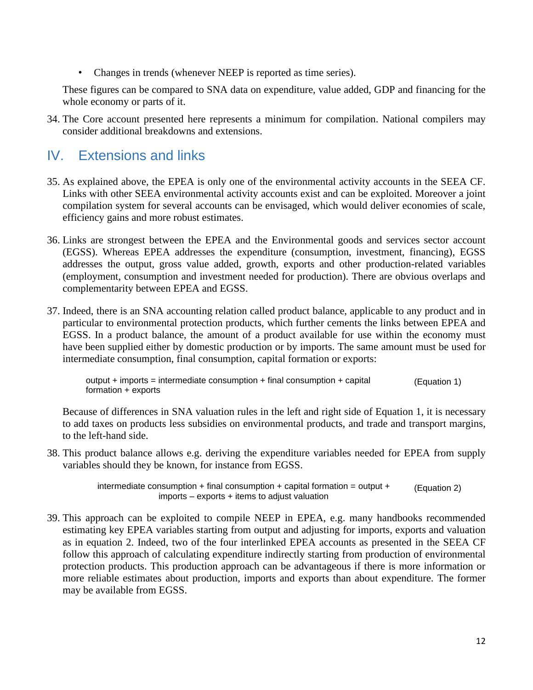• Changes in trends (whenever NEEP is reported as time series).

These figures can be compared to SNA data on expenditure, value added, GDP and financing for the whole economy or parts of it.

34. The Core account presented here represents a minimum for compilation. National compilers may consider additional breakdowns and extensions.

### <span id="page-11-0"></span>IV. Extensions and links

- 35. As explained above, the EPEA is only one of the environmental activity accounts in the SEEA CF. Links with other SEEA environmental activity accounts exist and can be exploited. Moreover a joint compilation system for several accounts can be envisaged, which would deliver economies of scale, efficiency gains and more robust estimates.
- 36. Links are strongest between the EPEA and the Environmental goods and services sector account (EGSS). Whereas EPEA addresses the expenditure (consumption, investment, financing), EGSS addresses the output, gross value added, growth, exports and other production-related variables (employment, consumption and investment needed for production). There are obvious overlaps and complementarity between EPEA and EGSS.
- 37. Indeed, there is an SNA accounting relation called product balance, applicable to any product and in particular to environmental protection products, which further cements the links between EPEA and EGSS. In a product balance, the amount of a product available for use within the economy must have been supplied either by domestic production or by imports. The same amount must be used for intermediate consumption, final consumption, capital formation or exports:

output + imports = intermediate consumption + final consumption + capital formation + exports (Equation 1)

Because of differences in SNA valuation rules in the left and right side of Equation 1, it is necessary to add taxes on products less subsidies on environmental products, and trade and transport margins, to the left-hand side.

38. This product balance allows e.g. deriving the expenditure variables needed for EPEA from supply variables should they be known, for instance from EGSS.

> intermediate consumption  $+$  final consumption  $+$  capital formation = output  $+$  $imports - exports + items to adjust valuation$ (Equation 2)

39. This approach can be exploited to compile NEEP in EPEA, e.g. many handbooks recommended estimating key EPEA variables starting from output and adjusting for imports, exports and valuation as in equation 2. Indeed, two of the four interlinked EPEA accounts as presented in the SEEA CF follow this approach of calculating expenditure indirectly starting from production of environmental protection products. This production approach can be advantageous if there is more information or more reliable estimates about production, imports and exports than about expenditure. The former may be available from EGSS.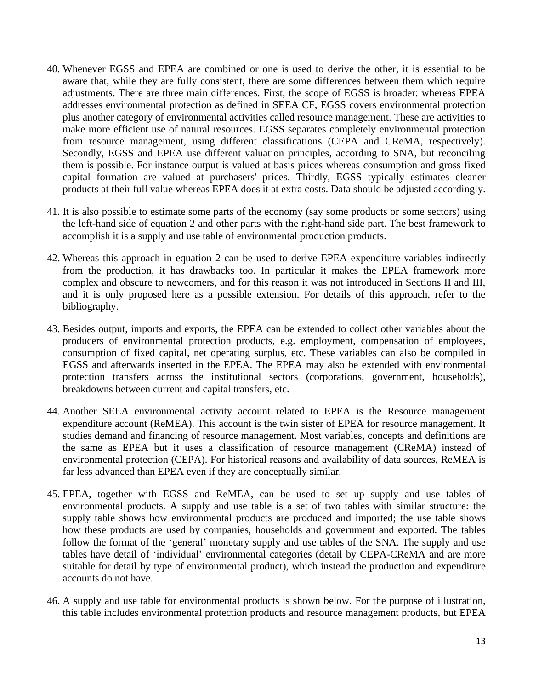- 40. Whenever EGSS and EPEA are combined or one is used to derive the other, it is essential to be aware that, while they are fully consistent, there are some differences between them which require adjustments. There are three main differences. First, the scope of EGSS is broader: whereas EPEA addresses environmental protection as defined in SEEA CF, EGSS covers environmental protection plus another category of environmental activities called resource management. These are activities to make more efficient use of natural resources. EGSS separates completely environmental protection from resource management, using different classifications (CEPA and CReMA, respectively). Secondly, EGSS and EPEA use different valuation principles, according to SNA, but reconciling them is possible. For instance output is valued at basis prices whereas consumption and gross fixed capital formation are valued at purchasers' prices. Thirdly, EGSS typically estimates cleaner products at their full value whereas EPEA does it at extra costs. Data should be adjusted accordingly.
- 41. It is also possible to estimate some parts of the economy (say some products or some sectors) using the left-hand side of equation 2 and other parts with the right-hand side part. The best framework to accomplish it is a supply and use table of environmental production products.
- 42. Whereas this approach in equation 2 can be used to derive EPEA expenditure variables indirectly from the production, it has drawbacks too. In particular it makes the EPEA framework more complex and obscure to newcomers, and for this reason it was not introduced in Sections II and III, and it is only proposed here as a possible extension. For details of this approach, refer to the bibliography.
- 43. Besides output, imports and exports, the EPEA can be extended to collect other variables about the producers of environmental protection products, e.g. employment, compensation of employees, consumption of fixed capital, net operating surplus, etc. These variables can also be compiled in EGSS and afterwards inserted in the EPEA. The EPEA may also be extended with environmental protection transfers across the institutional sectors (corporations, government, households), breakdowns between current and capital transfers, etc.
- 44. Another SEEA environmental activity account related to EPEA is the Resource management expenditure account (ReMEA). This account is the twin sister of EPEA for resource management. It studies demand and financing of resource management. Most variables, concepts and definitions are the same as EPEA but it uses a classification of resource management (CReMA) instead of environmental protection (CEPA). For historical reasons and availability of data sources, ReMEA is far less advanced than EPEA even if they are conceptually similar.
- 45. EPEA, together with EGSS and ReMEA, can be used to set up supply and use tables of environmental products. A supply and use table is a set of two tables with similar structure: the supply table shows how environmental products are produced and imported; the use table shows how these products are used by companies, households and government and exported. The tables follow the format of the 'general' monetary supply and use tables of the SNA. The supply and use tables have detail of 'individual' environmental categories (detail by CEPA-CReMA and are more suitable for detail by type of environmental product), which instead the production and expenditure accounts do not have.
- 46. A supply and use table for environmental products is shown below. For the purpose of illustration, this table includes environmental protection products and resource management products, but EPEA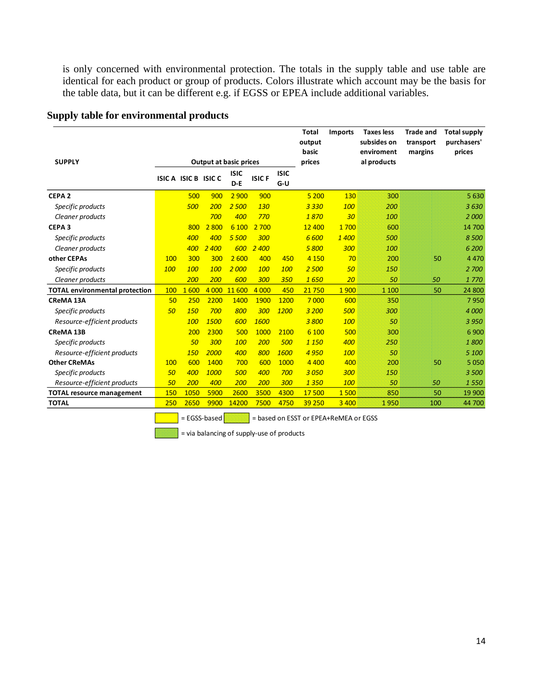is only concerned with environmental protection. The totals in the supply table and use table are identical for each product or group of products. Colors illustrate which account may be the basis for the table data, but it can be different e.g. if EGSS or EPEA include additional variables.

|                                       |     |                     |         |                               |              |                    | <b>Total</b><br>output<br>basic | <b>Imports</b> | <b>Taxes less</b><br>subsides on<br>enviroment | <b>Trade and</b><br>transport<br>margins | <b>Total supply</b><br>purchasers'<br>prices |
|---------------------------------------|-----|---------------------|---------|-------------------------------|--------------|--------------------|---------------------------------|----------------|------------------------------------------------|------------------------------------------|----------------------------------------------|
| <b>SUPPLY</b>                         |     |                     |         | <b>Output at basic prices</b> |              |                    | prices                          |                | al products                                    |                                          |                                              |
|                                       |     | ISICA ISIC B ISIC C |         | <b>ISIC</b><br>$D - E$        | <b>ISICF</b> | <b>ISIC</b><br>G-U |                                 |                |                                                |                                          |                                              |
| CEPA <sub>2</sub>                     |     | 500                 | 900     | 2 9 0 0                       | 900          |                    | 5 200                           | 130            | 300                                            |                                          | 5 6 3 0                                      |
| Specific products                     |     | 500                 | 200     | 2 500                         | <b>130</b>   |                    | 3 3 3 0                         | 100            | 200                                            |                                          | 3630                                         |
| Cleaner products                      |     |                     | 700     | 400                           | 770          |                    | 1870                            | 30             | 100                                            |                                          | 2000                                         |
| CEPA <sub>3</sub>                     |     | 800                 | 2 800   | 6 100                         | 2 700        |                    | 12 400                          | 1700           | 600                                            |                                          | 14 700                                       |
| Specific products                     |     | 400                 | 400     | 5 500                         | 300          |                    | 6 600                           | 1400           | 500                                            |                                          | 8500                                         |
| Cleaner products                      |     | 400                 | 2 400   | 600                           | 2 400        |                    | 5800                            | 300            | 100                                            |                                          | 6 200                                        |
| other CEPAs                           | 100 | 300                 | 300     | 2 600                         | 400          | 450                | 4 1 5 0                         | 70             | 200                                            | 50                                       | 4470                                         |
| Specific products                     | 100 | 100                 | 100     | 2000                          | 100          | 100                | 2 500                           | 50             | 150                                            |                                          | 2 700                                        |
| Cleaner products                      |     | 200                 | 200     | 600                           | 300          | 350                | 1650                            | 20             | 50                                             | 50                                       | 1770                                         |
| <b>TOTAL environmental protection</b> | 100 | 1600                | 4 0 0 0 | 11 600                        | 4 0 0 0      | 450                | 21750                           | 1900           | 1 100                                          | 50                                       | 24 800                                       |
| <b>CReMA 13A</b>                      | 50  | 250                 | 2200    | 1400                          | 1900         | 1200               | 7 0 0 0                         | 600            | 350                                            |                                          | 7950                                         |
| Specific products                     | 50  | <b>150</b>          | 700     | 800                           | 300          | 1200               | 3 200                           | 500            | 300                                            |                                          | 4 000                                        |
| Resource-efficient products           |     | 100                 | 1500    | 600                           | 1600         |                    | 3800                            | 100            | 50                                             |                                          | 3 950                                        |
| <b>CReMA 13B</b>                      |     | 200                 | 2300    | 500                           | 1000         | 2100               | 6 100                           | 500            | 300                                            |                                          | 6 900                                        |
| Specific products                     |     | 50                  | 300     | 100                           | 200          | 500                | 1 1 5 0                         | 400            | 250                                            |                                          | 1800                                         |
| Resource-efficient products           |     | 150                 | 2000    | 400                           | 800          | 1600               | 4 9 5 0                         | 100            | 50                                             |                                          | 5 100                                        |
| <b>Other CReMAs</b>                   | 100 | 600                 | 1400    | 700                           | 600          | 1000               | 4 4 0 0                         | 400            | 200                                            | 50                                       | 5 0 5 0                                      |
| Specific products                     | 50  | 400                 | 1000    | 500                           | 400          | 700                | 3050                            | 300            | 150                                            |                                          | 3500                                         |
| Resource-efficient products           | 50  | 200                 | 400     | 200                           | 200          | 300                | 1 3 5 0                         | 100            | 50                                             | 50                                       | 1550                                         |
| <b>TOTAL resource management</b>      | 150 | 1050                | 5900    | 2600                          | 3500         | 4300               | 17500                           | 1500           | 850                                            | 50                                       | 19 900                                       |
| <b>TOTAL</b>                          | 250 | 2650                | 9900    | 14200                         | 7500         | 4750               | 39 250                          | 3 4 0 0        | 1950                                           | 100                                      | 44 700                                       |

#### **Supply table for environmental products**

 $\boxed{\phantom{+} \qquad \qquad}$  = EGSS-based  $\boxed{\phantom{+} \qquad \qquad}$  = based on ESST or EPEA+ReMEA or EGSS

 $=$  via balancing of supply-use of products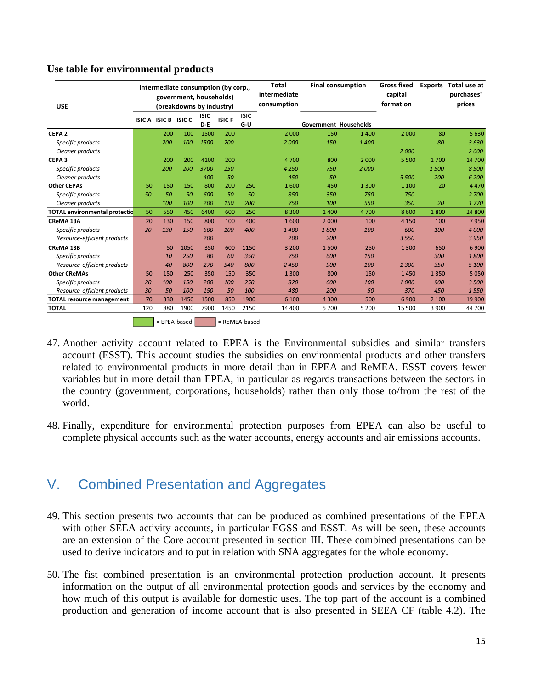#### **Use table for environmental products**

| <b>USE</b>                           |     |                     | Intermediate consumption (by corp.,<br>government, households)<br>(breakdowns by industry) |                        |               |                      | <b>Total</b><br>intermediate<br>consumption |                       | <b>Final consumption</b> | <b>Gross fixed</b><br>capital<br>formation | <b>Exports</b> | Total use at<br>purchases'<br>prices |
|--------------------------------------|-----|---------------------|--------------------------------------------------------------------------------------------|------------------------|---------------|----------------------|---------------------------------------------|-----------------------|--------------------------|--------------------------------------------|----------------|--------------------------------------|
|                                      |     | ISICA ISIC B ISIC C |                                                                                            | <b>ISIC</b><br>$D - E$ | <b>ISICF</b>  | <b>ISIC</b><br>$G-U$ |                                             | Government Households |                          |                                            |                |                                      |
| CEPA <sub>2</sub>                    |     | 200                 | 100                                                                                        | 1500                   | 200           |                      | 2 0 0 0                                     | 150                   | 1400                     | 2 0 0 0                                    | 80             | 5630                                 |
| Specific products                    |     | 200                 | 100                                                                                        | 1500                   | 200           |                      | 2000                                        | 150                   | 1400                     |                                            | 80             | 3630                                 |
| Cleaner products                     |     |                     |                                                                                            |                        |               |                      |                                             |                       |                          | 2000                                       |                | 2000                                 |
| CEPA <sub>3</sub>                    |     | 200                 | 200                                                                                        | 4100                   | 200           |                      | 4700                                        | 800                   | 2 0 0 0                  | 5 500                                      | 1 700          | 14 700                               |
| Specific products                    |     | 200                 | 200                                                                                        | 3700                   | 150           |                      | 4 2 5 0                                     | 750                   | 2000                     |                                            | 1500           | 8500                                 |
| Cleaner products                     |     |                     |                                                                                            | 400                    | 50            |                      | 450                                         | 50                    |                          | 5 500                                      | 200            | 6 200                                |
| <b>Other CEPAs</b>                   | 50  | 150                 | 150                                                                                        | 800                    | 200           | 250                  | 1600                                        | 450                   | 1 3 0 0                  | 1 1 0 0                                    | 20             | 4470                                 |
| Specific products                    | 50  | 50                  | 50                                                                                         | 600                    | 50            | 50                   | 850                                         | 350                   | 750                      | 750                                        |                | 2 700                                |
| Cleaner products                     |     | 100                 | 100                                                                                        | 200                    | 150           | 200                  | 750                                         | 100                   | 550                      | 350                                        | 20             | 1770                                 |
| <b>TOTAL environmental protectio</b> | 50  | 550                 | 450                                                                                        | 6400                   | 600           | 250                  | 8 3 0 0                                     | 1 400                 | 4700                     | 8600                                       | 1800           | 24 800                               |
| <b>CReMA 13A</b>                     | 20  | 130                 | 150                                                                                        | 800                    | 100           | 400                  | 1600                                        | 2 0 0 0               | 100                      | 4 1 5 0                                    | 100            | 7950                                 |
| Specific products                    | 20  | 130                 | 150                                                                                        | 600                    | 100           | 400                  | 1400                                        | 1800                  | 100                      | 600                                        | 100            | 4 0 0 0                              |
| Resource-efficient products          |     |                     |                                                                                            | 200                    |               |                      | 200                                         | 200                   |                          | 3 5 5 0                                    |                | 3 9 5 0                              |
| <b>CReMA 13B</b>                     |     | 50                  | 1050                                                                                       | 350                    | 600           | 1150                 | 3 2 0 0                                     | 1500                  | 250                      | 1 3 0 0                                    | 650            | 6 9 0 0                              |
| Specific products                    |     | 10                  | 250                                                                                        | 80                     | 60            | 350                  | 750                                         | 600                   | 150                      |                                            | 300            | 1800                                 |
| Resource-efficient products          |     | 40                  | 800                                                                                        | 270                    | 540           | 800                  | 2450                                        | 900                   | 100                      | 1300                                       | 350            | 5 100                                |
| <b>Other CReMAs</b>                  | 50  | 150                 | 250                                                                                        | 350                    | 150           | 350                  | 1 3 0 0                                     | 800                   | 150                      | 1450                                       | 1 3 5 0        | 5 0 5 0                              |
| Specific products                    | 20  | 100                 | 150                                                                                        | 200                    | 100           | 250                  | 820                                         | 600                   | 100                      | 1080                                       | 900            | 3 500                                |
| Resource-efficient products          | 30  | 50                  | 100                                                                                        | 150                    | 50            | 100                  | 480                                         | 200                   | 50                       | 370                                        | 450            | 1550                                 |
| <b>TOTAL resource management</b>     | 70  | 330                 | 1450                                                                                       | 1500                   | 850           | 1900                 | 6 100                                       | 4 3 0 0               | 500                      | 6900                                       | 2 100          | 19 900                               |
| <b>TOTAL</b>                         | 120 | 880                 | 1900                                                                                       | 7900                   | 1450          | 2150                 | 14 400                                      | 5 700                 | 5 2 0 0                  | 15 500                                     | 3 900          | 44 700                               |
|                                      |     |                     | = EPEA-based                                                                               |                        | = ReMEA-based |                      |                                             |                       |                          |                                            |                |                                      |

47. Another activity account related to EPEA is the Environmental subsidies and similar transfers account (ESST). This account studies the subsidies on environmental products and other transfers related to environmental products in more detail than in EPEA and ReMEA. ESST covers fewer variables but in more detail than EPEA, in particular as regards transactions between the sectors in the country (government, corporations, households) rather than only those to/from the rest of the world.

48. Finally, expenditure for environmental protection purposes from EPEA can also be useful to complete physical accounts such as the water accounts, energy accounts and air emissions accounts.

# <span id="page-14-0"></span>V. Combined Presentation and Aggregates

- 49. This section presents two accounts that can be produced as combined presentations of the EPEA with other SEEA activity accounts, in particular EGSS and ESST. As will be seen, these accounts are an extension of the Core account presented in section III. These combined presentations can be used to derive indicators and to put in relation with SNA aggregates for the whole economy.
- 50. The fist combined presentation is an environmental protection production account. It presents information on the output of all environmental protection goods and services by the economy and how much of this output is available for domestic uses. The top part of the account is a combined production and generation of income account that is also presented in SEEA CF (table 4.2). The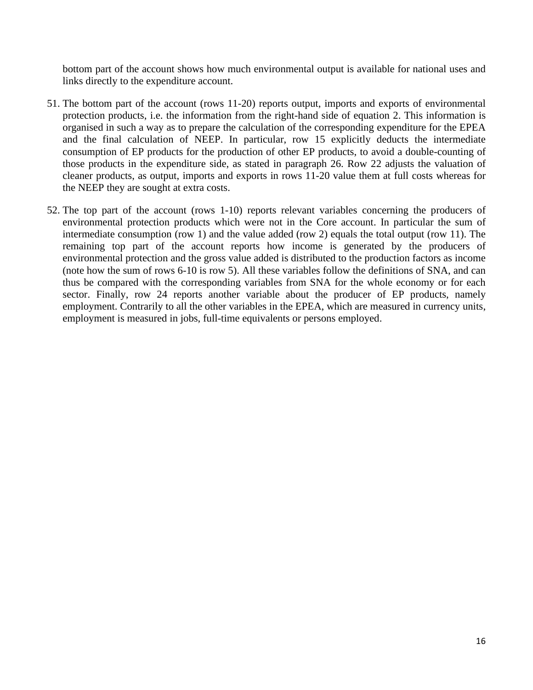bottom part of the account shows how much environmental output is available for national uses and links directly to the expenditure account.

- 51. The bottom part of the account (rows 11-20) reports output, imports and exports of environmental protection products, i.e. the information from the right-hand side of equation 2. This information is organised in such a way as to prepare the calculation of the corresponding expenditure for the EPEA and the final calculation of NEEP. In particular, row 15 explicitly deducts the intermediate consumption of EP products for the production of other EP products, to avoid a double-counting of those products in the expenditure side, as stated in paragraph [26.](#page-8-0) Row 22 adjusts the valuation of cleaner products, as output, imports and exports in rows 11-20 value them at full costs whereas for the NEEP they are sought at extra costs.
- 52. The top part of the account (rows 1-10) reports relevant variables concerning the producers of environmental protection products which were not in the Core account. In particular the sum of intermediate consumption (row 1) and the value added (row 2) equals the total output (row 11). The remaining top part of the account reports how income is generated by the producers of environmental protection and the gross value added is distributed to the production factors as income (note how the sum of rows 6-10 is row 5). All these variables follow the definitions of SNA, and can thus be compared with the corresponding variables from SNA for the whole economy or for each sector. Finally, row 24 reports another variable about the producer of EP products, namely employment. Contrarily to all the other variables in the EPEA, which are measured in currency units, employment is measured in jobs, full-time equivalents or persons employed.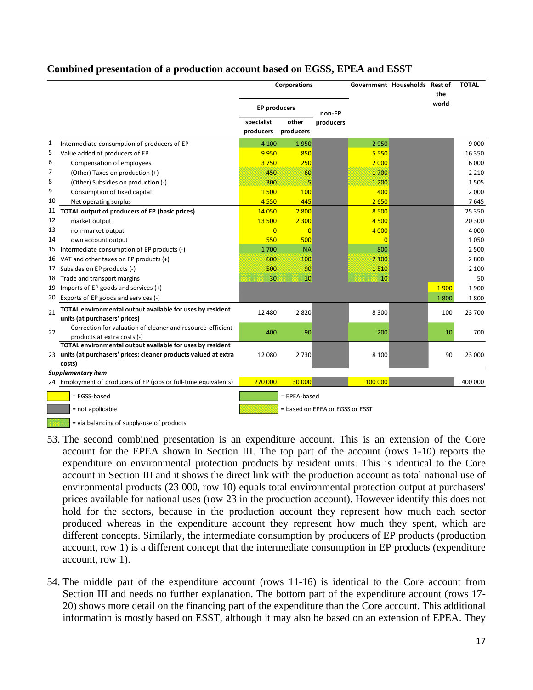#### **Combined presentation of a production account based on EGSS, EPEA and ESST**

|    |                                                                                            |                         | <b>Corporations</b> |                                 |                | Government Households Rest of |              | <b>TOTAL</b> |
|----|--------------------------------------------------------------------------------------------|-------------------------|---------------------|---------------------------------|----------------|-------------------------------|--------------|--------------|
|    |                                                                                            | <b>EP producers</b>     |                     | non-EP                          |                |                               | the<br>world |              |
|    |                                                                                            | specialist<br>producers | other<br>producers  | producers                       |                |                               |              |              |
| 1  | Intermediate consumption of producers of EP                                                | 4 100                   | 1950                |                                 | 2950           |                               |              | 9 0 0 0      |
| 5  | Value added of producers of EP                                                             | 9950                    | 850                 |                                 | 5 5 5 0        |                               |              | 16 350       |
| 6  | Compensation of employees                                                                  | 3750                    | 250                 |                                 | 2 0 0 0        |                               |              | 6 0 0 0      |
| 7  | (Other) Taxes on production (+)                                                            | 450                     | 60                  |                                 | 1700           |                               |              | 2 2 1 0      |
| 8  | (Other) Subsidies on production (-)                                                        | 300                     | 5                   |                                 | 1 200          |                               |              | 1505         |
| 9  | Consumption of fixed capital                                                               | 1500                    | 100                 |                                 | 400            |                               |              | 2 0 0 0      |
| 10 | Net operating surplus                                                                      | 4550                    | 445                 |                                 | 2650           |                               |              | 7645         |
|    | 11 TOTAL output of producers of EP (basic prices)                                          | 14 0 50                 | 2 800               |                                 | 8 5 0 0        |                               |              | 25 350       |
| 12 | market output                                                                              | 13 500                  | 2 3 0 0             |                                 | 4 500          |                               |              | 20 300       |
| 13 | non-market output                                                                          | $\overline{0}$          | $\overline{0}$      |                                 | 4 0 0 0        |                               |              | 4 0 0 0      |
| 14 | own account output                                                                         | 550                     | 500                 |                                 | $\overline{0}$ |                               |              | 1050         |
|    | 15 Intermediate consumption of EP products (-)                                             | 1700                    | <b>NA</b>           |                                 | 800            |                               |              | 2 500        |
|    | 16 VAT and other taxes on EP products (+)                                                  | 600                     | 100                 |                                 | 2 100          |                               |              | 2800         |
| 17 | Subsides on EP products (-)                                                                | 500                     | 90                  |                                 | 1510           |                               |              | 2 100        |
|    | 18 Trade and transport margins                                                             | 30                      | 10                  |                                 | 10             |                               |              | 50           |
| 19 | Imports of EP goods and services (+)                                                       |                         |                     |                                 |                |                               | 1900         | 1900         |
| 20 | Exports of EP goods and services (-)                                                       |                         |                     |                                 |                |                               | 1800         | 1800         |
| 21 | TOTAL environmental output available for uses by resident<br>units (at purchasers' prices) | 12 4 8 0                | 2820                |                                 | 8 3 0 0        |                               | 100          | 23 700       |
|    | Correction for valuation of cleaner and resource-efficient                                 |                         |                     |                                 |                |                               |              |              |
| 22 | products at extra costs (-)                                                                | 400                     | 90                  |                                 | 200            |                               | 10           | 700          |
|    | TOTAL environmental output available for uses by resident                                  |                         |                     |                                 |                |                               |              |              |
|    | 23 units (at purchasers' prices; cleaner products valued at extra                          | 12 080                  | 2730                |                                 | 8 1 0 0        |                               | 90           | 23 000       |
|    | costs)                                                                                     |                         |                     |                                 |                |                               |              |              |
|    | <b>Supplementary item</b>                                                                  |                         |                     |                                 |                |                               |              |              |
|    | 24 Employment of producers of EP (jobs or full-time equivalents)                           | 270 000                 | 30 000              |                                 | 100 000        |                               |              | 400 000      |
|    | = EGSS-based                                                                               |                         | = EPEA-based        |                                 |                |                               |              |              |
|    | = not applicable                                                                           |                         |                     | = based on EPEA or EGSS or ESST |                |                               |              |              |

- $\vert$  = via balancing of supply-use of products
- 53. The second combined presentation is an expenditure account. This is an extension of the Core account for the EPEA shown in Section III. The top part of the account (rows 1-10) reports the expenditure on environmental protection products by resident units. This is identical to the Core account in Section III and it shows the direct link with the production account as total national use of environmental products (23 000, row 10) equals total environmental protection output at purchasers' prices available for national uses (row 23 in the production account). However identify this does not hold for the sectors, because in the production account they represent how much each sector produced whereas in the expenditure account they represent how much they spent, which are different concepts. Similarly, the intermediate consumption by producers of EP products (production account, row 1) is a different concept that the intermediate consumption in EP products (expenditure account, row 1).
- 54. The middle part of the expenditure account (rows 11-16) is identical to the Core account from Section III and needs no further explanation. The bottom part of the expenditure account (rows 17- 20) shows more detail on the financing part of the expenditure than the Core account. This additional information is mostly based on ESST, although it may also be based on an extension of EPEA. They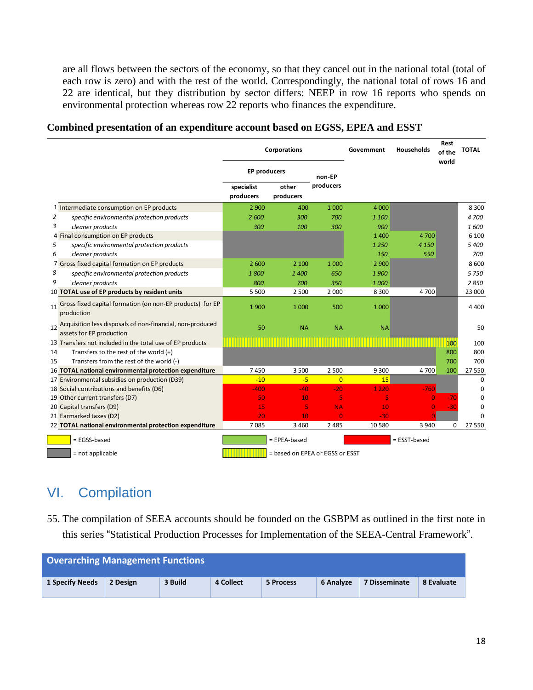are all flows between the sectors of the economy, so that they cancel out in the national total (total of each row is zero) and with the rest of the world. Correspondingly, the national total of rows 16 and 22 are identical, but they distribution by sector differs: NEEP in row 16 reports who spends on environmental protection whereas row 22 reports who finances the expenditure.

|    |                                                                                          |                         | <b>Corporations</b>             |                | Government | Households   | Rest<br>of the<br>world | TOTAL       |
|----|------------------------------------------------------------------------------------------|-------------------------|---------------------------------|----------------|------------|--------------|-------------------------|-------------|
|    |                                                                                          | <b>EP producers</b>     |                                 | non-EP         |            |              |                         |             |
|    |                                                                                          | specialist<br>producers | other<br>producers              | producers      |            |              |                         |             |
|    | 1 Intermediate consumption on EP products                                                | 2 9 0 0                 | 400                             | 1 0 0 0        | 4 0 0 0    |              |                         | 8 3 0 0     |
| 2  | specific environmental protection products                                               | 2600                    | 300                             | 700            | 1 100      |              |                         | 4700        |
| 3  | cleaner products                                                                         | 300                     | 100                             | 300            | 900        |              |                         | 1600        |
|    | 4 Final consumption on EP products                                                       |                         |                                 |                | 1400       | 4 700        |                         | 6 100       |
| 5  | specific environmental protection products                                               |                         |                                 |                | 1 2 5 0    | 4 1 5 0      |                         | 5400        |
| 6  | cleaner products                                                                         |                         |                                 |                | 150        | 550          |                         | 700         |
|    | 7 Gross fixed capital formation on EP products                                           | 2 600                   | 2 100                           | 1 0 0 0        | 2 9 0 0    |              |                         | 8600        |
| 8  | specific environmental protection products                                               | 1800                    | 1400                            | 650            | 1900       |              |                         | 5 7 5 0     |
| 9  | cleaner products                                                                         | 800                     | 700                             | 350            | 1000       |              |                         | 2850        |
|    | 10 TOTAL use of EP products by resident units                                            | 5 5 0 0                 | 2 500                           | 2 0 0 0        | 8 3 0 0    | 4700         |                         | 23 000      |
|    | 11 Gross fixed capital formation (on non-EP products) for EP<br>production               | 1900                    | 1 0 0 0                         | 500            | 1 0 0 0    |              |                         | 4 4 0 0     |
|    | 12 Acquisition less disposals of non-financial, non-produced<br>assets for EP production | 50                      | <b>NA</b>                       | <b>NA</b>      | <b>NA</b>  |              |                         | 50          |
|    | 13 Transfers not included in the total use of EP products                                |                         |                                 |                |            |              | 100                     | 100         |
| 14 | Transfers to the rest of the world $(+)$                                                 |                         |                                 |                |            |              | 800                     | 800         |
| 15 | Transfers from the rest of the world (-)                                                 |                         |                                 |                |            |              | 700                     | 700         |
|    | 16 TOTAL national environmental protection expenditure                                   | 7450                    | 3 500                           | 2 500          | 9 3 0 0    | 4700         | 100                     | 27 550      |
|    | 17 Environmental subsidies on production (D39)                                           | $-10$                   | $-5$                            | $\overline{0}$ | 15         |              |                         | $\mathbf 0$ |
|    | 18 Social contributions and benefits (D6)                                                | $-400$                  | $-40$                           | $-20$          | 1 2 2 0    | $-760$       |                         | $\Omega$    |
|    | 19 Other current transfers (D7)                                                          | 50                      | 10                              | 5              | 5          | $\Omega$     | $-70$                   | O           |
|    | 20 Capital transfers (D9)                                                                | 15                      | 5                               | <b>NA</b>      | 10         | $\Omega$     | $-30$                   | O           |
|    | 21 Earmarked taxes (D2)                                                                  | 20                      | 10                              | $\Omega$       | $-30$      |              |                         | O           |
|    | 22 TOTAL national environmental protection expenditure                                   | 7085                    | 3 4 6 0                         | 2 4 8 5        | 10 5 80    | 3 9 4 0      | 0                       | 27 550      |
|    | = EGSS-based                                                                             |                         | = EPEA-based                    |                |            | = ESST-based |                         |             |
|    | = not applicable                                                                         |                         | = based on EPEA or EGSS or ESST |                |            |              |                         |             |

#### **Combined presentation of an expenditure account based on EGSS, EPEA and ESST**

# <span id="page-17-0"></span>VI. Compilation

55. The compilation of SEEA accounts should be founded on the GSBPM as outlined in the first note in this series "Statistical Production Processes for Implementation of the SEEA-Central Framework".

| <b>Overarching Management Functions</b> |          |         |           |           |           |                      |            |
|-----------------------------------------|----------|---------|-----------|-----------|-----------|----------------------|------------|
| <b>1 Specify Needs</b>                  | 2 Design | 3 Build | 4 Collect | 5 Process | 6 Analyze | <b>7 Disseminate</b> | 8 Evaluate |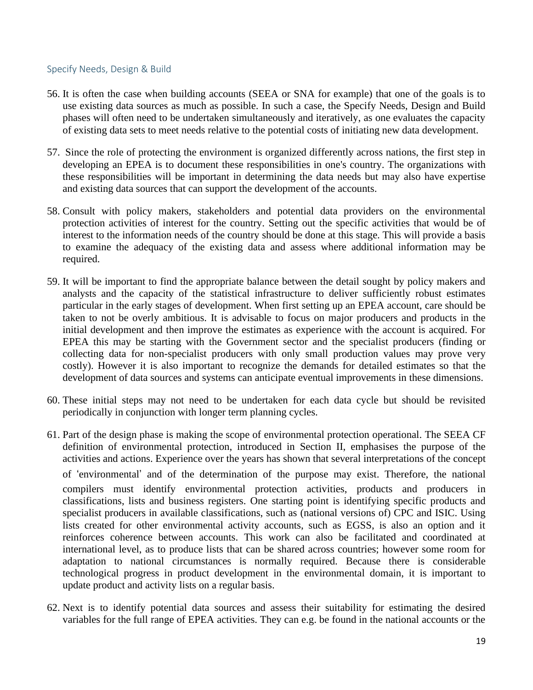#### <span id="page-18-0"></span>Specify Needs, Design & Build

- 56. It is often the case when building accounts (SEEA or SNA for example) that one of the goals is to use existing data sources as much as possible. In such a case, the Specify Needs, Design and Build phases will often need to be undertaken simultaneously and iteratively, as one evaluates the capacity of existing data sets to meet needs relative to the potential costs of initiating new data development.
- 57. Since the role of protecting the environment is organized differently across nations, the first step in developing an EPEA is to document these responsibilities in one's country. The organizations with these responsibilities will be important in determining the data needs but may also have expertise and existing data sources that can support the development of the accounts.
- 58. Consult with policy makers, stakeholders and potential data providers on the environmental protection activities of interest for the country. Setting out the specific activities that would be of interest to the information needs of the country should be done at this stage. This will provide a basis to examine the adequacy of the existing data and assess where additional information may be required.
- 59. It will be important to find the appropriate balance between the detail sought by policy makers and analysts and the capacity of the statistical infrastructure to deliver sufficiently robust estimates particular in the early stages of development. When first setting up an EPEA account, care should be taken to not be overly ambitious. It is advisable to focus on major producers and products in the initial development and then improve the estimates as experience with the account is acquired. For EPEA this may be starting with the Government sector and the specialist producers (finding or collecting data for non-specialist producers with only small production values may prove very costly). However it is also important to recognize the demands for detailed estimates so that the development of data sources and systems can anticipate eventual improvements in these dimensions.
- 60. These initial steps may not need to be undertaken for each data cycle but should be revisited periodically in conjunction with longer term planning cycles.
- 61. Part of the design phase is making the scope of environmental protection operational. The SEEA CF definition of environmental protection, introduced in Section II, emphasises the purpose of the activities and actions. Experience over the years has shown that several interpretations of the concept of 'environmental' and of the determination of the purpose may exist. Therefore, the national compilers must identify environmental protection activities, products and producers in classifications, lists and business registers. One starting point is identifying specific products and specialist producers in available classifications, such as (national versions of) CPC and ISIC. Using lists created for other environmental activity accounts, such as EGSS, is also an option and it reinforces coherence between accounts. This work can also be facilitated and coordinated at international level, as to produce lists that can be shared across countries; however some room for adaptation to national circumstances is normally required. Because there is considerable technological progress in product development in the environmental domain, it is important to update product and activity lists on a regular basis.
- 62. Next is to identify potential data sources and assess their suitability for estimating the desired variables for the full range of EPEA activities. They can e.g. be found in the national accounts or the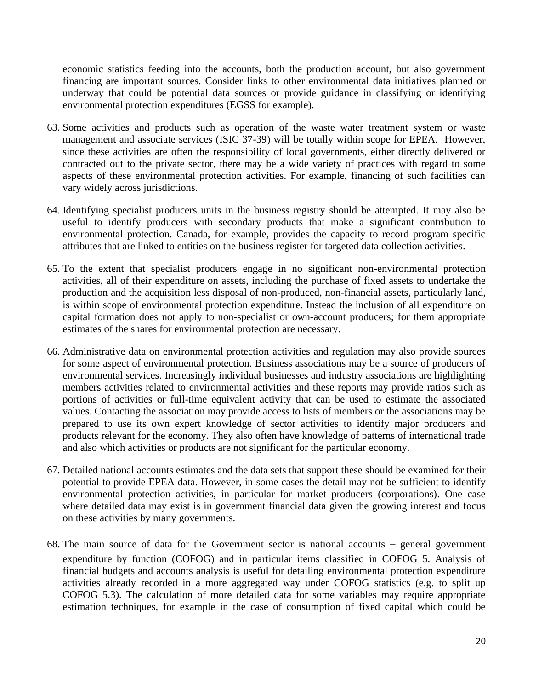economic statistics feeding into the accounts, both the production account, but also government financing are important sources. Consider links to other environmental data initiatives planned or underway that could be potential data sources or provide guidance in classifying or identifying environmental protection expenditures (EGSS for example).

- 63. Some activities and products such as operation of the waste water treatment system or waste management and associate services (ISIC 37-39) will be totally within scope for EPEA. However, since these activities are often the responsibility of local governments, either directly delivered or contracted out to the private sector, there may be a wide variety of practices with regard to some aspects of these environmental protection activities. For example, financing of such facilities can vary widely across jurisdictions.
- 64. Identifying specialist producers units in the business registry should be attempted. It may also be useful to identify producers with secondary products that make a significant contribution to environmental protection. Canada, for example, provides the capacity to record program specific attributes that are linked to entities on the business register for targeted data collection activities.
- 65. To the extent that specialist producers engage in no significant non-environmental protection activities, all of their expenditure on assets, including the purchase of fixed assets to undertake the production and the acquisition less disposal of non-produced, non-financial assets, particularly land, is within scope of environmental protection expenditure. Instead the inclusion of all expenditure on capital formation does not apply to non-specialist or own-account producers; for them appropriate estimates of the shares for environmental protection are necessary.
- 66. Administrative data on environmental protection activities and regulation may also provide sources for some aspect of environmental protection. Business associations may be a source of producers of environmental services. Increasingly individual businesses and industry associations are highlighting members activities related to environmental activities and these reports may provide ratios such as portions of activities or full-time equivalent activity that can be used to estimate the associated values. Contacting the association may provide access to lists of members or the associations may be prepared to use its own expert knowledge of sector activities to identify major producers and products relevant for the economy. They also often have knowledge of patterns of international trade and also which activities or products are not significant for the particular economy.
- 67. Detailed national accounts estimates and the data sets that support these should be examined for their potential to provide EPEA data. However, in some cases the detail may not be sufficient to identify environmental protection activities, in particular for market producers (corporations). One case where detailed data may exist is in government financial data given the growing interest and focus on these activities by many governments.
- 68. The main source of data for the Government sector is national accounts general government expenditure by function (COFOG) and in particular items classified in COFOG 5. Analysis of financial budgets and accounts analysis is useful for detailing environmental protection expenditure activities already recorded in a more aggregated way under COFOG statistics (e.g. to split up COFOG 5.3). The calculation of more detailed data for some variables may require appropriate estimation techniques, for example in the case of consumption of fixed capital which could be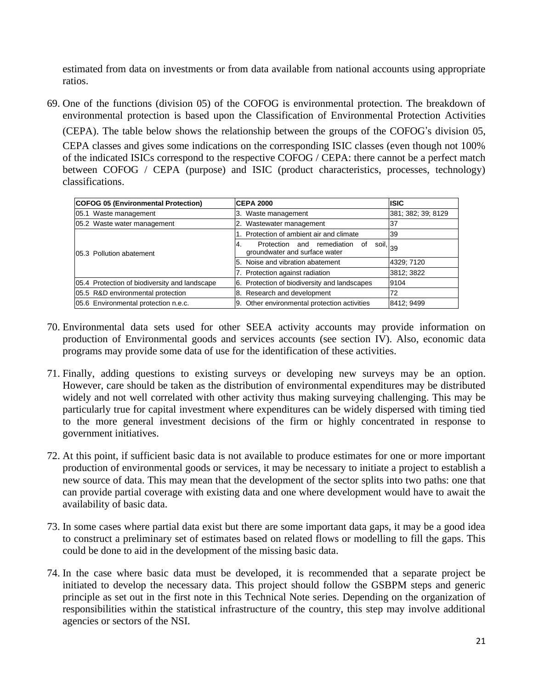estimated from data on investments or from data available from national accounts using appropriate ratios.

69. One of the functions (division 05) of the COFOG is environmental protection. The breakdown of environmental protection is based upon the Classification of Environmental Protection Activities (CEPA). The table below shows the relationship between the groups of the COFOG's division 05, CEPA classes and gives some indications on the corresponding ISIC classes (even though not 100% of the indicated ISICs correspond to the respective COFOG / CEPA: there cannot be a perfect match between COFOG / CEPA (purpose) and ISIC (product characteristics, processes, technology) classifications.

| <b>COFOG 05 (Environmental Protection)</b>    | <b>CEPA 2000</b>                                                                                         | <b>ISIC</b>        |
|-----------------------------------------------|----------------------------------------------------------------------------------------------------------|--------------------|
| 05.1 Waste management                         | 3. Waste management                                                                                      | 381; 382; 39; 8129 |
| 05.2 Waste water management                   | 2. Wastewater management                                                                                 | ı37                |
|                                               | 1. Protection of ambient air and climate                                                                 | 39                 |
| 105.3 Pollution abatement                     | soil, $\left _{39}\right $<br>Protection and<br>remediation<br>οf<br>4.<br>groundwater and surface water |                    |
|                                               | 5. Noise and vibration abatement                                                                         | 4329; 7120         |
|                                               | 7. Protection against radiation                                                                          | 3812; 3822         |
| 05.4 Protection of biodiversity and landscape | 6. Protection of biodiversity and landscapes                                                             | 9104               |
| 05.5 R&D environmental protection             | 8. Research and development                                                                              | 72                 |
| 05.6 Environmental protection n.e.c.          | 9. Other environmental protection activities                                                             | 8412; 9499         |

- 70. Environmental data sets used for other SEEA activity accounts may provide information on production of Environmental goods and services accounts (see section IV). Also, economic data programs may provide some data of use for the identification of these activities.
- 71. Finally, adding questions to existing surveys or developing new surveys may be an option. However, care should be taken as the distribution of environmental expenditures may be distributed widely and not well correlated with other activity thus making surveying challenging. This may be particularly true for capital investment where expenditures can be widely dispersed with timing tied to the more general investment decisions of the firm or highly concentrated in response to government initiatives.
- 72. At this point, if sufficient basic data is not available to produce estimates for one or more important production of environmental goods or services, it may be necessary to initiate a project to establish a new source of data. This may mean that the development of the sector splits into two paths: one that can provide partial coverage with existing data and one where development would have to await the availability of basic data.
- 73. In some cases where partial data exist but there are some important data gaps, it may be a good idea to construct a preliminary set of estimates based on related flows or modelling to fill the gaps. This could be done to aid in the development of the missing basic data.
- 74. In the case where basic data must be developed, it is recommended that a separate project be initiated to develop the necessary data. This project should follow the GSBPM steps and generic principle as set out in the first note in this Technical Note series. Depending on the organization of responsibilities within the statistical infrastructure of the country, this step may involve additional agencies or sectors of the NSI.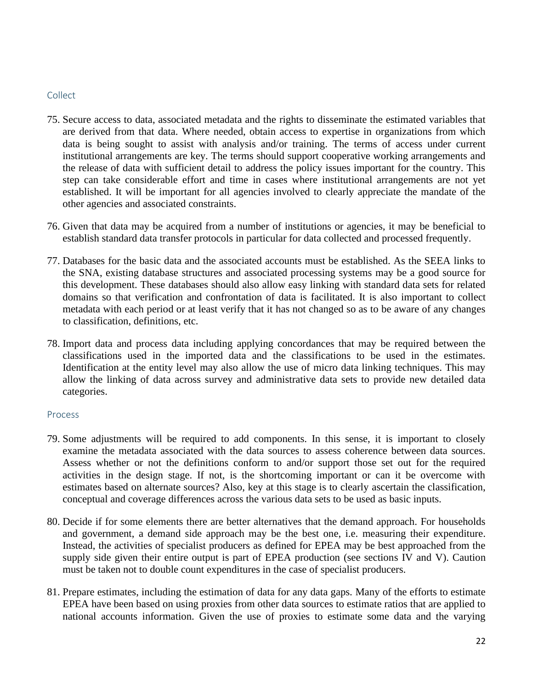#### <span id="page-21-0"></span>Collect

- 75. Secure access to data, associated metadata and the rights to disseminate the estimated variables that are derived from that data. Where needed, obtain access to expertise in organizations from which data is being sought to assist with analysis and/or training. The terms of access under current institutional arrangements are key. The terms should support cooperative working arrangements and the release of data with sufficient detail to address the policy issues important for the country. This step can take considerable effort and time in cases where institutional arrangements are not yet established. It will be important for all agencies involved to clearly appreciate the mandate of the other agencies and associated constraints.
- 76. Given that data may be acquired from a number of institutions or agencies, it may be beneficial to establish standard data transfer protocols in particular for data collected and processed frequently.
- 77. Databases for the basic data and the associated accounts must be established. As the SEEA links to the SNA, existing database structures and associated processing systems may be a good source for this development. These databases should also allow easy linking with standard data sets for related domains so that verification and confrontation of data is facilitated. It is also important to collect metadata with each period or at least verify that it has not changed so as to be aware of any changes to classification, definitions, etc.
- 78. Import data and process data including applying concordances that may be required between the classifications used in the imported data and the classifications to be used in the estimates. Identification at the entity level may also allow the use of micro data linking techniques. This may allow the linking of data across survey and administrative data sets to provide new detailed data categories.

#### <span id="page-21-1"></span>Process

- 79. Some adjustments will be required to add components. In this sense, it is important to closely examine the metadata associated with the data sources to assess coherence between data sources. Assess whether or not the definitions conform to and/or support those set out for the required activities in the design stage. If not, is the shortcoming important or can it be overcome with estimates based on alternate sources? Also, key at this stage is to clearly ascertain the classification, conceptual and coverage differences across the various data sets to be used as basic inputs.
- 80. Decide if for some elements there are better alternatives that the demand approach. For households and government, a demand side approach may be the best one, i.e. measuring their expenditure. Instead, the activities of specialist producers as defined for EPEA may be best approached from the supply side given their entire output is part of EPEA production (see sections IV and V). Caution must be taken not to double count expenditures in the case of specialist producers.
- 81. Prepare estimates, including the estimation of data for any data gaps. Many of the efforts to estimate EPEA have been based on using proxies from other data sources to estimate ratios that are applied to national accounts information. Given the use of proxies to estimate some data and the varying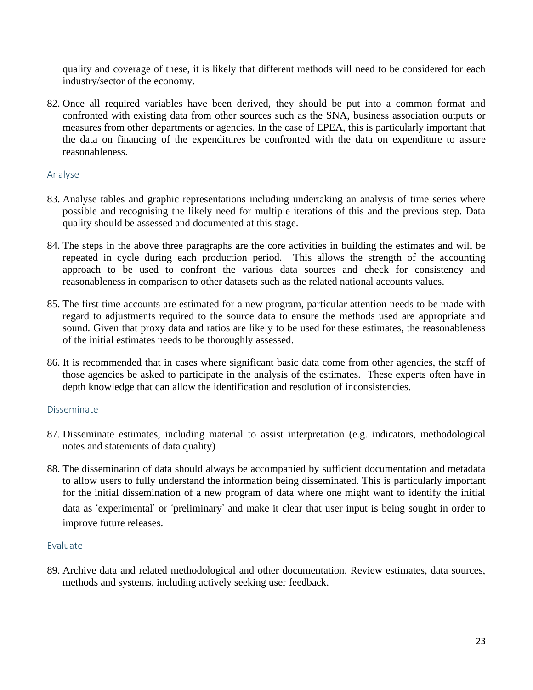quality and coverage of these, it is likely that different methods will need to be considered for each industry/sector of the economy.

82. Once all required variables have been derived, they should be put into a common format and confronted with existing data from other sources such as the SNA, business association outputs or measures from other departments or agencies. In the case of EPEA, this is particularly important that the data on financing of the expenditures be confronted with the data on expenditure to assure reasonableness.

#### <span id="page-22-0"></span>Analyse

- 83. Analyse tables and graphic representations including undertaking an analysis of time series where possible and recognising the likely need for multiple iterations of this and the previous step. Data quality should be assessed and documented at this stage.
- 84. The steps in the above three paragraphs are the core activities in building the estimates and will be repeated in cycle during each production period. This allows the strength of the accounting approach to be used to confront the various data sources and check for consistency and reasonableness in comparison to other datasets such as the related national accounts values.
- 85. The first time accounts are estimated for a new program, particular attention needs to be made with regard to adjustments required to the source data to ensure the methods used are appropriate and sound. Given that proxy data and ratios are likely to be used for these estimates, the reasonableness of the initial estimates needs to be thoroughly assessed.
- 86. It is recommended that in cases where significant basic data come from other agencies, the staff of those agencies be asked to participate in the analysis of the estimates. These experts often have in depth knowledge that can allow the identification and resolution of inconsistencies.

#### <span id="page-22-1"></span>Disseminate

- 87. Disseminate estimates, including material to assist interpretation (e.g. indicators, methodological notes and statements of data quality)
- 88. The dissemination of data should always be accompanied by sufficient documentation and metadata to allow users to fully understand the information being disseminated. This is particularly important for the initial dissemination of a new program of data where one might want to identify the initial data as 'experimental' or 'preliminary' and make it clear that user input is being sought in order to improve future releases.

#### <span id="page-22-2"></span>Evaluate

89. Archive data and related methodological and other documentation. Review estimates, data sources, methods and systems, including actively seeking user feedback.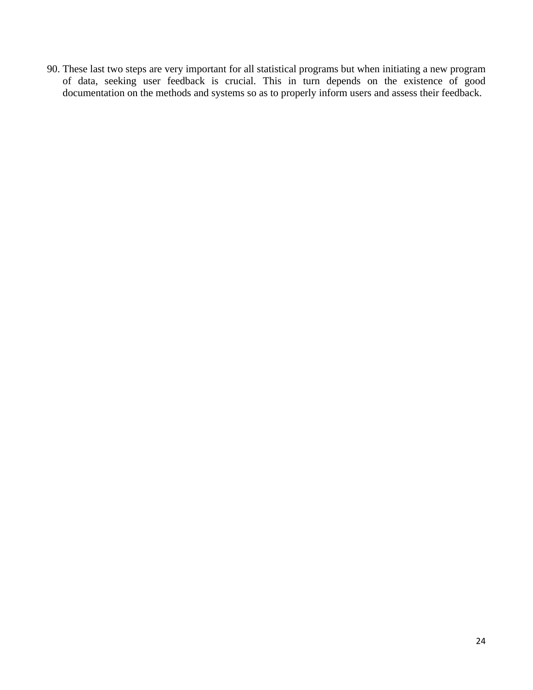90. These last two steps are very important for all statistical programs but when initiating a new program of data, seeking user feedback is crucial. This in turn depends on the existence of good documentation on the methods and systems so as to properly inform users and assess their feedback.